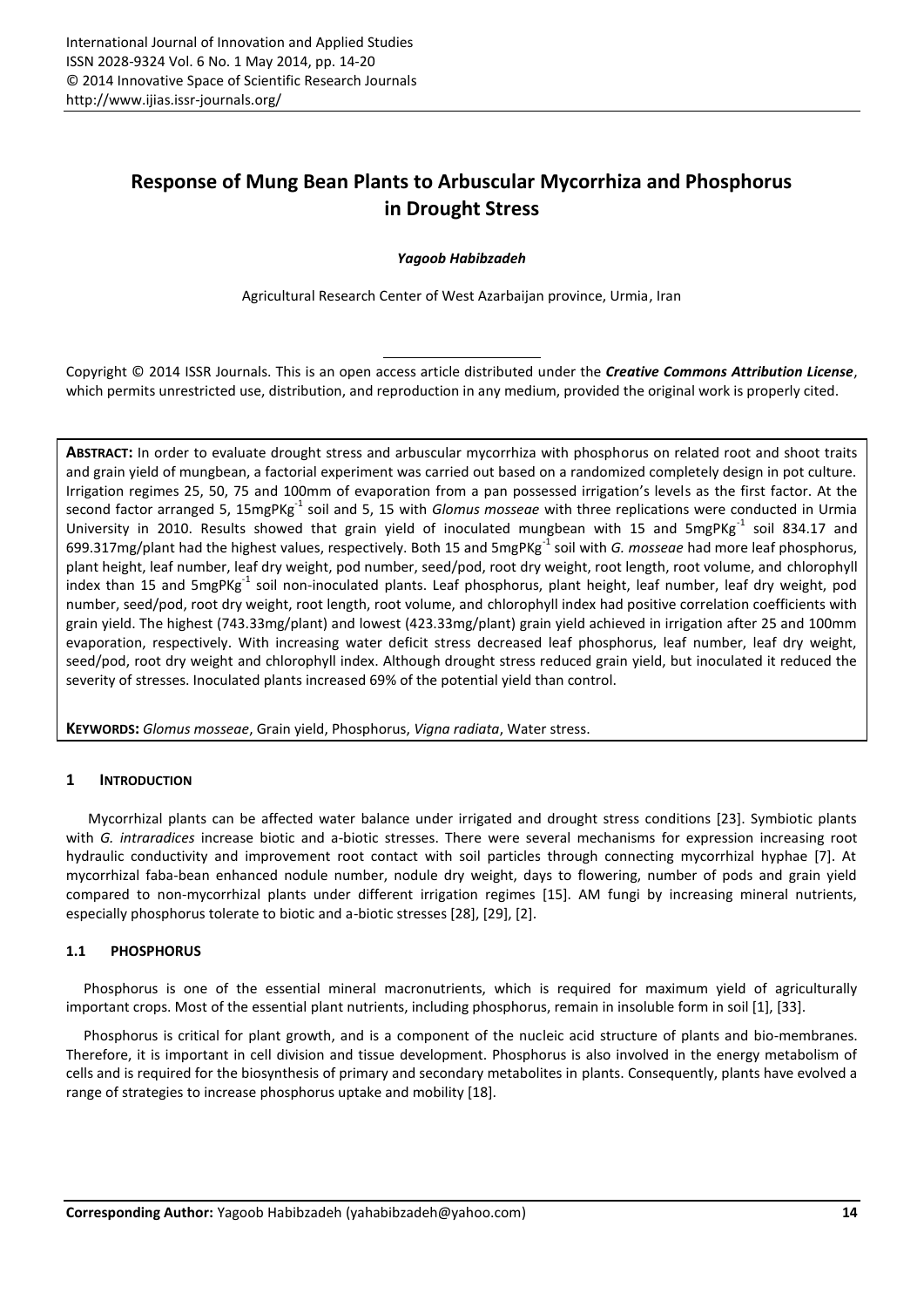# **Response of Mung Bean Plants to Arbuscular Mycorrhiza and Phosphorus in Drought Stress**

### *Yagoob Habibzadeh*

Agricultural Research Center of West Azarbaijan province, Urmia, Iran

Copyright © 2014 ISSR Journals. This is an open access article distributed under the *Creative Commons Attribution License*, which permits unrestricted use, distribution, and reproduction in any medium, provided the original work is properly cited.

**ABSTRACT:** In order to evaluate drought stress and arbuscular mycorrhiza with phosphorus on related root and shoot traits and grain yield of mungbean, a factorial experiment was carried out based on a randomized completely design in pot culture. Irrigation regimes 25, 50, 75 and 100mm of evaporation from a pan possessed irrigation's levels as the first factor. At the second factor arranged 5, 15mgPKg-1 soil and 5, 15 with *Glomus mosseae* with three replications were conducted in Urmia University in 2010. Results showed that grain yield of inoculated mungbean with 15 and 5mgPKg<sup>-1</sup> soil 834.17 and 699.317mg/plant had the highest values, respectively. Both 15 and 5mgPKg-1 soil with *G. mosseae* had more leaf phosphorus, plant height, leaf number, leaf dry weight, pod number, seed/pod, root dry weight, root length, root volume, and chlorophyll index than 15 and 5mgPKg<sup>-1</sup> soil non-inoculated plants. Leaf phosphorus, plant height, leaf number, leaf dry weight, pod number, seed/pod, root dry weight, root length, root volume, and chlorophyll index had positive correlation coefficients with grain yield. The highest (743.33mg/plant) and lowest (423.33mg/plant) grain yield achieved in irrigation after 25 and 100mm evaporation, respectively. With increasing water deficit stress decreased leaf phosphorus, leaf number, leaf dry weight, seed/pod, root dry weight and chlorophyll index. Although drought stress reduced grain yield, but inoculated it reduced the severity of stresses. Inoculated plants increased 69% of the potential yield than control.

**KEYWORDS:** *Glomus mosseae*, Grain yield, Phosphorus, *Vigna radiata*, Water stress.

# **1 INTRODUCTION**

Mycorrhizal plants can be affected water balance under irrigated and drought stress conditions [23]. Symbiotic plants with *G. intraradices* increase biotic and a-biotic stresses. There were several mechanisms for expression increasing root hydraulic conductivity and improvement root contact with soil particles through connecting mycorrhizal hyphae [7]. At mycorrhizal faba-bean enhanced nodule number, nodule dry weight, days to flowering, number of pods and grain yield compared to non-mycorrhizal plants under different irrigation regimes [15]. AM fungi by increasing mineral nutrients, especially phosphorus tolerate to biotic and a-biotic stresses [28], [29], [2].

### **1.1 PHOSPHORUS**

Phosphorus is one of the essential mineral macronutrients, which is required for maximum yield of agriculturally important crops. Most of the essential plant nutrients, including phosphorus, remain in insoluble form in soil [1], [33].

Phosphorus is critical for plant growth, and is a component of the nucleic acid structure of plants and bio-membranes. Therefore, it is important in cell division and tissue development. Phosphorus is also involved in the energy metabolism of cells and is required for the biosynthesis of primary and secondary metabolites in plants. Consequently, plants have evolved a range of strategies to increase phosphorus uptake and mobility [18].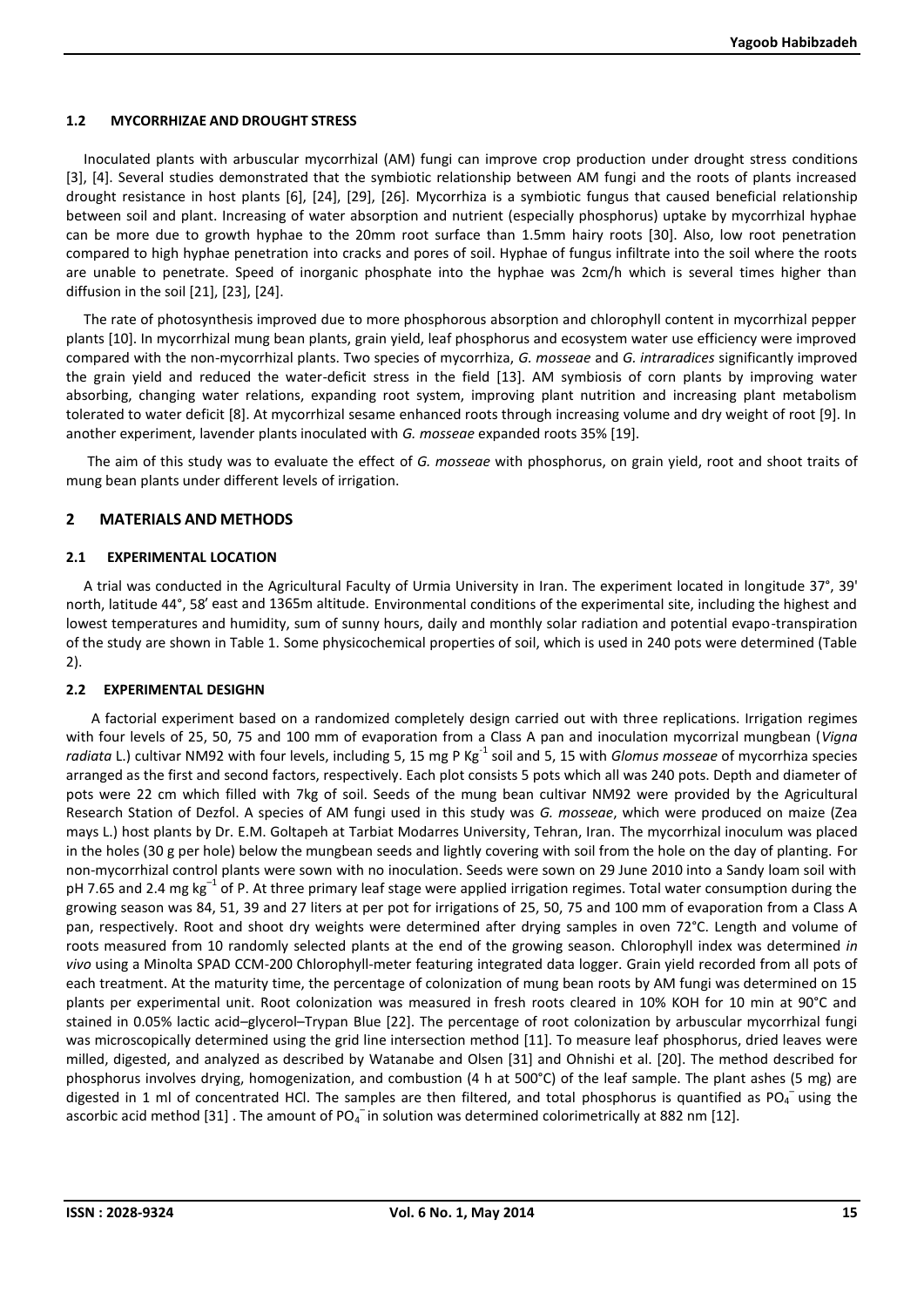#### **1.2 MYCORRHIZAE AND DROUGHT STRESS**

Inoculated plants with arbuscular mycorrhizal (AM) fungi can improve crop production under drought stress conditions [3], [4]. Several studies demonstrated that the symbiotic relationship between AM fungi and the roots of plants increased drought resistance in host plants [6], [24], [29], [26]. Mycorrhiza is a symbiotic fungus that caused beneficial relationship between soil and plant. Increasing of water absorption and nutrient (especially phosphorus) uptake by mycorrhizal hyphae can be more due to growth hyphae to the 20mm root surface than 1.5mm hairy roots [30]. Also, low root penetration compared to high hyphae penetration into cracks and pores of soil. Hyphae of fungus infiltrate into the soil where the roots are unable to penetrate. Speed of inorganic phosphate into the hyphae was 2cm/h which is several times higher than diffusion in the soil [21], [23], [24].

The rate of photosynthesis improved due to more phosphorous absorption and chlorophyll content in mycorrhizal pepper plants [10]. In mycorrhizal mung bean plants, grain yield, leaf phosphorus and ecosystem water use efficiency were improved compared with the non-mycorrhizal plants. Two species of mycorrhiza, *G. mosseae* and *G. intraradices* significantly improved the grain yield and reduced the water-deficit stress in the field [13]. AM symbiosis of corn plants by improving water absorbing, changing water relations, expanding root system, improving plant nutrition and increasing plant metabolism tolerated to water deficit [8]. At mycorrhizal sesame enhanced roots through increasing volume and dry weight of root [9]. In another experiment, lavender plants inoculated with *G. mosseae* expanded roots 35% [19].

The aim of this study was to evaluate the effect of *G. mosseae* with phosphorus, on grain yield, root and shoot traits of mung bean plants under different levels of irrigation.

### **2 MATERIALS AND METHODS**

### **2.1 EXPERIMENTAL LOCATION**

A trial was conducted in the Agricultural Faculty of Urmia University in Iran. The experiment located in longitude 37°, 39' north, latitude 44°, 58′ east and 1365m altitude. Environmental conditions of the experimental site, including the highest and lowest temperatures and humidity, sum of sunny hours, daily and monthly solar radiation and potential evapo-transpiration of the study are shown in Table 1. Some physicochemical properties of soil, which is used in 240 pots were determined (Table 2).

### **2.2 EXPERIMENTAL DESIGHN**

A factorial experiment based on a randomized completely design carried out with three replications. Irrigation regimes with four levels of 25, 50, 75 and 100 mm of evaporation from a Class A pan and inoculation mycorrizal mungbean (*Vigna radiata* L.) cultivar NM92 with four levels, including 5, 15 mg P Kg-1 soil and 5, 15 with *Glomus mosseae* of mycorrhiza species arranged as the first and second factors, respectively. Each plot consists 5 pots which all was 240 pots. Depth and diameter of pots were 22 cm which filled with 7kg of soil. Seeds of the mung bean cultivar NM92 were provided by the Agricultural Research Station of Dezfol. A species of AM fungi used in this study was *G. mosseae*, which were produced on maize (Zea mays L.) host plants by Dr. E.M. Goltapeh at Tarbiat Modarres University, Tehran, Iran. The mycorrhizal inoculum was placed in the holes (30 g per hole) below the mungbean seeds and lightly covering with soil from the hole on the day of planting. For non-mycorrhizal control plants were sown with no inoculation. Seeds were sown on 29 June 2010 into a Sandy loam soil with pH 7.65 and 2.4 mg kg<sup>-1</sup> of P. At three primary leaf stage were applied irrigation regimes. Total water consumption during the growing season was 84, 51, 39 and 27 liters at per pot for irrigations of 25, 50, 75 and 100 mm of evaporation from a Class A pan, respectively. Root and shoot dry weights were determined after drying samples in oven 72°C. Length and volume of roots measured from 10 randomly selected plants at the end of the growing season. Chlorophyll index was determined *in vivo* using a Minolta SPAD CCM-200 Chlorophyll-meter featuring integrated data logger. Grain yield recorded from all pots of each treatment. At the maturity time, the percentage of colonization of mung bean roots by AM fungi was determined on 15 plants per experimental unit. Root colonization was measured in fresh roots cleared in 10% KOH for 10 min at 90°C and stained in 0.05% lactic acid–glycerol–Trypan Blue [22]. The percentage of root colonization by arbuscular mycorrhizal fungi was microscopically determined using the grid line intersection method [11]. To measure leaf phosphorus, dried leaves were milled, digested, and analyzed as described by Watanabe and Olsen [31] and Ohnishi et al. [20]. The method described for phosphorus involves drying, homogenization, and combustion (4 h at 500°C) of the leaf sample. The plant ashes (5 mg) are digested in 1 ml of concentrated HCl. The samples are then filtered, and total phosphorus is quantified as PO<sub>4</sub><sup>-</sup> using the ascorbic acid method [31] . The amount of PO<sub>4</sub><sup>-</sup> in solution was determined colorimetrically at 882 nm [12].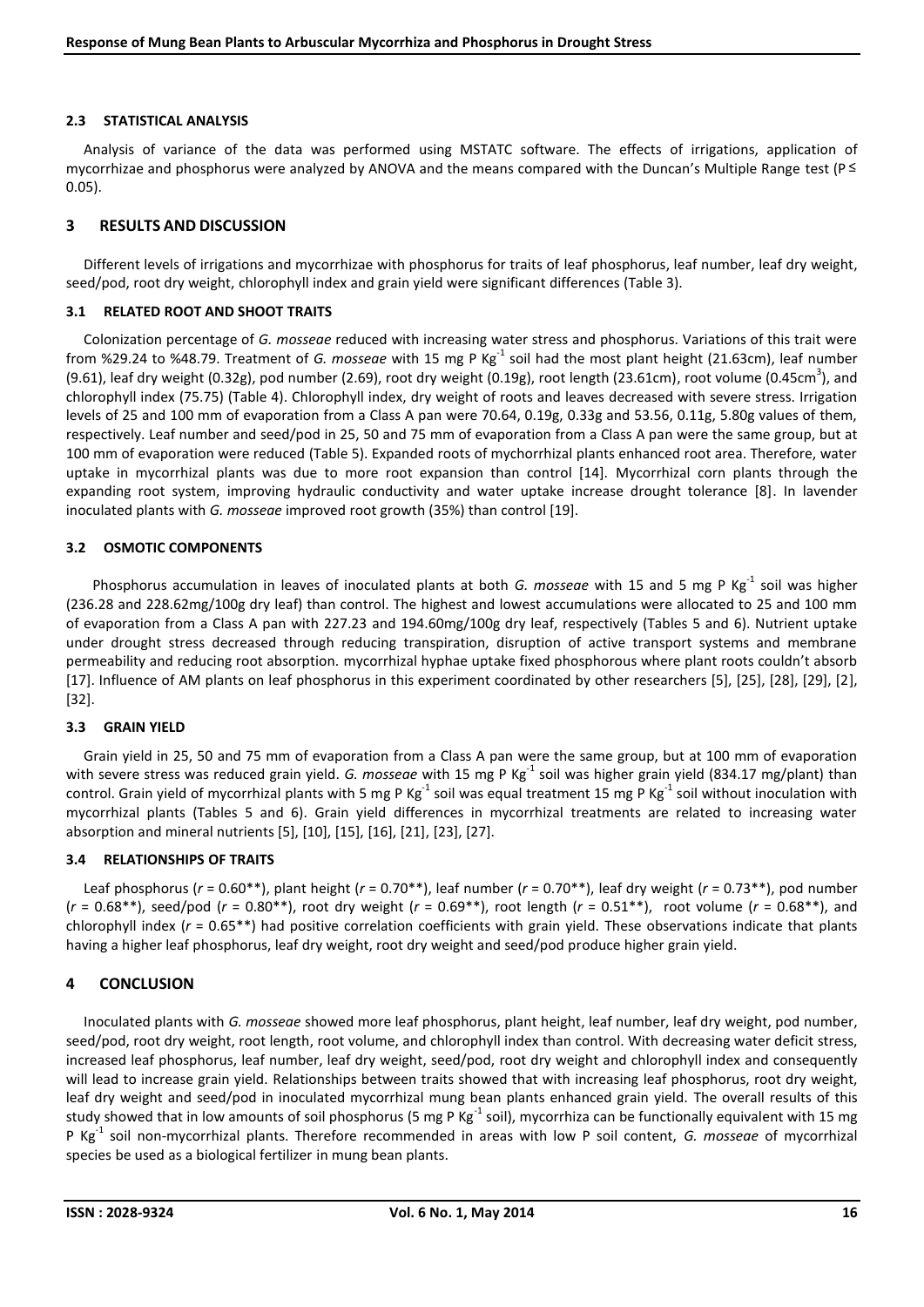### **2.3 STATISTICAL ANALYSIS**

Analysis of variance of the data was performed using MSTATC software. The effects of irrigations, application of mycorrhizae and phosphorus were analyzed by ANOVA and the means compared with the Duncan's Multiple Range test (P ≤ 0.05).

# **3 RESULTS AND DISCUSSION**

Different levels of irrigations and mycorrhizae with phosphorus for traits of leaf phosphorus, leaf number, leaf dry weight, seed/pod, root dry weight, chlorophyll index and grain yield were significant differences (Table 3).

# **3.1 RELATED ROOT AND SHOOT TRAITS**

Colonization percentage of *G. mosseae* reduced with increasing water stress and phosphorus. Variations of this trait were from %29.24 to %48.79. Treatment of *G. mosseae* with 15 mg P Kg<sup>-1</sup> soil had the most plant height (21.63cm), leaf number (9.61), leaf dry weight (0.32g), pod number (2.69), root dry weight (0.19g), root length (23.61cm), root volume (0.45cm<sup>3</sup>), and chlorophyll index (75.75) (Table 4). Chlorophyll index, dry weight of roots and leaves decreased with severe stress. Irrigation levels of 25 and 100 mm of evaporation from a Class A pan were 70.64, 0.19g, 0.33g and 53.56, 0.11g, 5.80g values of them, respectively. Leaf number and seed/pod in 25, 50 and 75 mm of evaporation from a Class A pan were the same group, but at 100 mm of evaporation were reduced (Table 5). Expanded roots of mychorrhizal plants enhanced root area. Therefore, water uptake in mycorrhizal plants was due to more root expansion than control [14]. Mycorrhizal corn plants through the expanding root system, improving hydraulic conductivity and water uptake increase drought tolerance [8]. In lavender inoculated plants with *G. mosseae* improved root growth (35%) than control [19].

# **3.2 OSMOTIC COMPONENTS**

Phosphorus accumulation in leaves of inoculated plants at both *G. mosseae* with 15 and 5 mg P Kg<sup>-1</sup> soil was higher (236.28 and 228.62mg/100g dry leaf) than control. The highest and lowest accumulations were allocated to 25 and 100 mm of evaporation from a Class A pan with 227.23 and 194.60mg/100g dry leaf, respectively (Tables 5 and 6). Nutrient uptake under drought stress decreased through reducing transpiration, disruption of active transport systems and membrane permeability and reducing root absorption. mycorrhizal hyphae uptake fixed phosphorous where plant roots couldn't absorb [17]. Influence of AM plants on leaf phosphorus in this experiment coordinated by other researchers [5], [25], [28], [29], [2], [32].

# **3.3 GRAIN YIELD**

Grain yield in 25, 50 and 75 mm of evaporation from a Class A pan were the same group, but at 100 mm of evaporation with severe stress was reduced grain yield. *G. mosseae* with 15 mg P Kg<sup>-1</sup> soil was higher grain yield (834.17 mg/plant) than control. Grain yield of mycorrhizal plants with 5 mg P Kg<sup>-1</sup> soil was equal treatment 15 mg P Kg<sup>-1</sup> soil without inoculation with mycorrhizal plants (Tables 5 and 6). Grain yield differences in mycorrhizal treatments are related to increasing water absorption and mineral nutrients [5], [10], [15], [16], [21], [23], [27].

# **3.4 RELATIONSHIPS OF TRAITS**

Leaf phosphorus (*r* = 0.60\*\*), plant height (*r* = 0.70\*\*), leaf number (*r* = 0.70\*\*), leaf dry weight (*r* = 0.73\*\*), pod number (*r* = 0.68\*\*), seed/pod (*r* = 0.80\*\*), root dry weight (*r* = 0.69\*\*), root length (*r* = 0.51\*\*), root volume (*r* = 0.68\*\*), and chlorophyll index (*r* = 0.65\*\*) had positive correlation coefficients with grain yield. These observations indicate that plants having a higher leaf phosphorus, leaf dry weight, root dry weight and seed/pod produce higher grain yield.

# **4 CONCLUSION**

Inoculated plants with *G. mosseae* showed more leaf phosphorus, plant height, leaf number, leaf dry weight, pod number, seed/pod, root dry weight, root length, root volume, and chlorophyll index than control. With decreasing water deficit stress, increased leaf phosphorus, leaf number, leaf dry weight, seed/pod, root dry weight and chlorophyll index and consequently will lead to increase grain yield. Relationships between traits showed that with increasing leaf phosphorus, root dry weight, leaf dry weight and seed/pod in inoculated mycorrhizal mung bean plants enhanced grain yield. The overall results of this study showed that in low amounts of soil phosphorus (5 mg P Kg<sup>-1</sup> soil), mycorrhiza can be functionally equivalent with 15 mg P Kg-1 soil non-mycorrhizal plants. Therefore recommended in areas with low P soil content, *G. mosseae* of mycorrhizal species be used as a biological fertilizer in mung bean plants.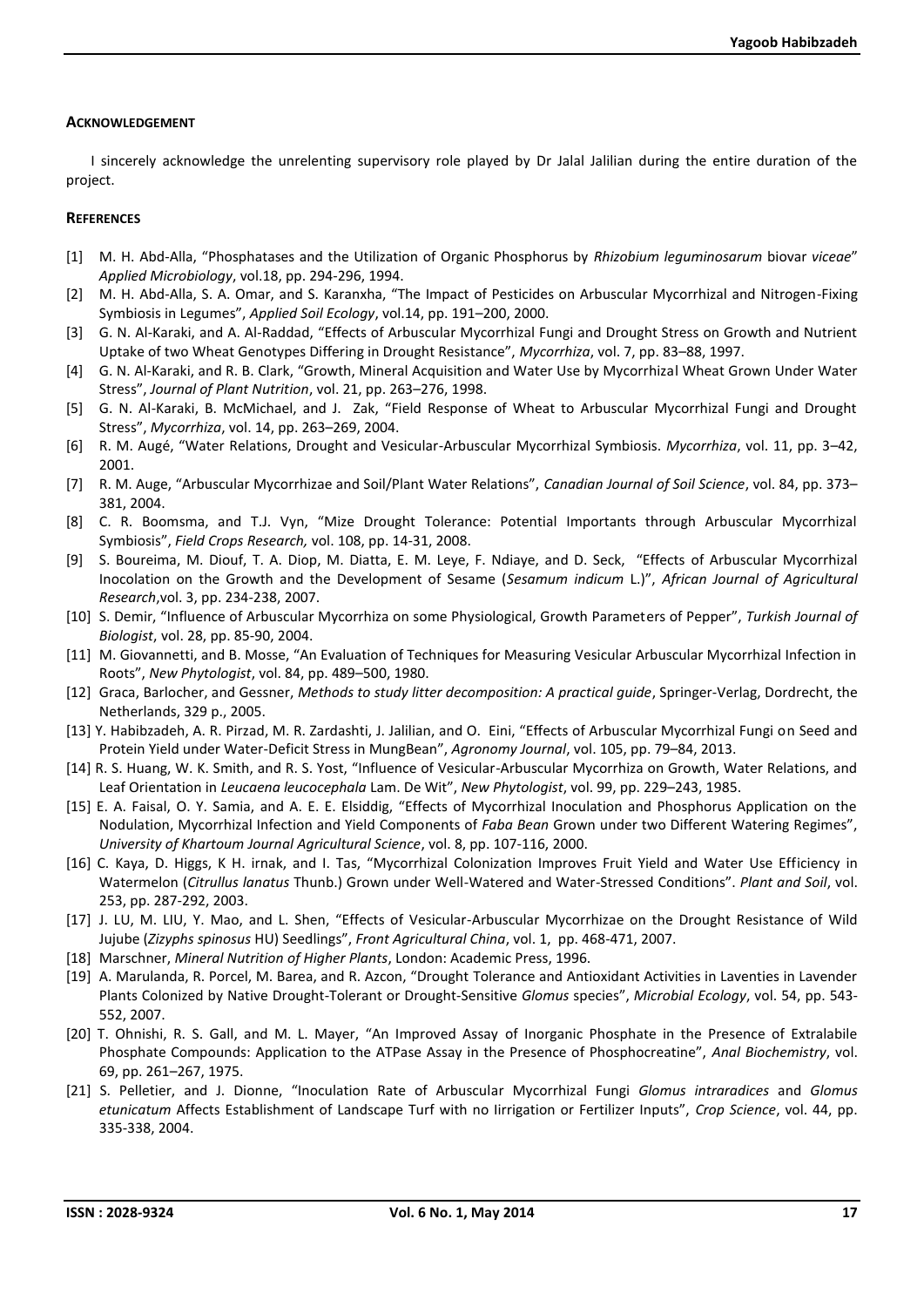#### **ACKNOWLEDGEMENT**

I sincerely acknowledge the unrelenting supervisory role played by Dr Jalal Jalilian during the entire duration of the project.

#### **REFERENCES**

- [1] M. H. Abd-Alla, "Phosphatases and the Utilization of Organic Phosphorus by *Rhizobium leguminosarum* biovar *viceae*" *Applied Microbiology*, vol.18, pp. 294-296, 1994.
- [2] M. H. Abd-Alla, S. A. Omar, and S. Karanxha, "The Impact of Pesticides on Arbuscular Mycorrhizal and Nitrogen-Fixing Symbiosis in Legumes", *Applied Soil Ecology*, vol.14, pp. 191–200, 2000.
- [3] G. N. Al-Karaki, and A. Al-Raddad, "Effects of Arbuscular Mycorrhizal Fungi and Drought Stress on Growth and Nutrient Uptake of two Wheat Genotypes Differing in Drought Resistance", *Mycorrhiza*, vol. 7, pp. 83–88, 1997.
- [4] G. N. Al-Karaki, and R. B. Clark, "Growth, Mineral Acquisition and Water Use by Mycorrhizal Wheat Grown Under Water Stress", *Journal of Plant Nutrition*, vol. 21, pp. 263–276, 1998.
- [5] G. N. Al-Karaki, B. McMichael, and J. Zak, "Field Response of Wheat to Arbuscular Mycorrhizal Fungi and Drought Stress", *Mycorrhiza*, vol. 14, pp. 263–269, 2004.
- [6] R. M. Augé, "Water Relations, Drought and Vesicular-Arbuscular Mycorrhizal Symbiosis. *Mycorrhiza*, vol. 11, pp. 3–42, 2001.
- [7] R. M. Auge, "Arbuscular Mycorrhizae and Soil/Plant Water Relations", *Canadian Journal of Soil Science*, vol. 84, pp. 373– 381, 2004.
- [8] C. R. Boomsma, and T.J. Vyn, "Mize Drought Tolerance: Potential Importants through Arbuscular Mycorrhizal Symbiosis", *Field Crops Research,* vol. 108, pp. 14-31, 2008.
- [9] S. Boureima, M. Diouf, T. A. Diop, M. Diatta, E. M. Leye, F. Ndiaye, and D. Seck, "Effects of Arbuscular Mycorrhizal Inocolation on the Growth and the Development of Sesame (*Sesamum indicum* L.)", *African Journal of Agricultural Research*,vol. 3, pp. 234-238, 2007.
- [10] S. Demir, "Influence of Arbuscular Mycorrhiza on some Physiological' Growth Parameters of Pepper", *Turkish Journal of Biologist*, vol. 28, pp. 85-90, 2004.
- [11] M. Giovannetti, and B. Mosse, "An Evaluation of Techniques for Measuring Vesicular Arbuscular Mycorrhizal Infection in Roots", *New Phytologist*, vol. 84, pp. 489–500, 1980.
- [12] Graca, Barlocher, and Gessner, *Methods to study litter decomposition: A practical guide*, Springer-Verlag, Dordrecht, the Netherlands, 329 p., 2005.
- [13] Y. Habibzadeh, A. R. Pirzad, M. R. Zardashti, J. Jalilian, and O. Eini, "Effects of Arbuscular Mycorrhizal Fungi on Seed and Protein Yield under Water-Deficit Stress in MungBean", *Agronomy Journal*, vol. 105, pp. 79–84, 2013.
- [14] R. S. Huang, W. K. Smith, and R. S. Yost, "Influence of Vesicular-Arbuscular Mycorrhiza on Growth, Water Relations, and Leaf Orientation in *Leucaena leucocephala* Lam. De Wit", *New Phytologist*, vol. 99, pp. 229–243, 1985.
- [15] E. A. Faisal, O. Y. Samia, and A. E. E. Elsiddig, "Effects of Mycorrhizal Inoculation and Phosphorus Application on the Nodulation, Mycorrhizal Infection and Yield Components of *Faba Bean* Grown under two Different Watering Regimes", *University of Khartoum Journal Agricultural Science*, vol. 8, pp. 107-116, 2000.
- [16] C. Kaya, D. Higgs, K H. irnak, and I. Tas, "Mycorrhizal Colonization Improves Fruit Yield and Water Use Efficiency in Watermelon (*Citrullus lanatus* Thunb.) Grown under Well-Watered and Water-Stressed Conditions". *Plant and Soil*, vol. 253, pp. 287-292, 2003.
- [17] J. LU, M. LIU, Y. Mao, and L. Shen, "Effects of Vesicular-Arbuscular Mycorrhizae on the Drought Resistance of Wild Jujube (*Zizyphs spinosus* HU) Seedlings", *Front Agricultural China*, vol. 1, pp. 468-471, 2007.
- [18] Marschner, *Mineral Nutrition of Higher Plants*, London: Academic Press, 1996.
- [19] A. Marulanda, R. Porcel, M. Barea, and R. Azcon, "Drought Tolerance and Antioxidant Activities in Laventies in Lavender Plants Colonized by Native Drought-Tolerant or Drought-Sensitive *Glomus* species", *Microbial Ecology*, vol. 54, pp. 543- 552, 2007.
- [20] T. Ohnishi, R. S. Gall, and M. L. Mayer, "An Improved Assay of Inorganic Phosphate in the Presence of Extralabile Phosphate Compounds: Application to the ATPase Assay in the Presence of Phosphocreatine", *Anal Biochemistry*, vol. 69, pp. 261–267, 1975.
- [21] S. Pelletier, and J. Dionne, "Inoculation Rate of Arbuscular Mycorrhizal Fungi *Glomus intraradices* and *Glomus etunicatum* Affects Establishment of Landscape Turf with no Iirrigation or Fertilizer Inputs", *Crop Science*, vol. 44, pp. 335-338, 2004.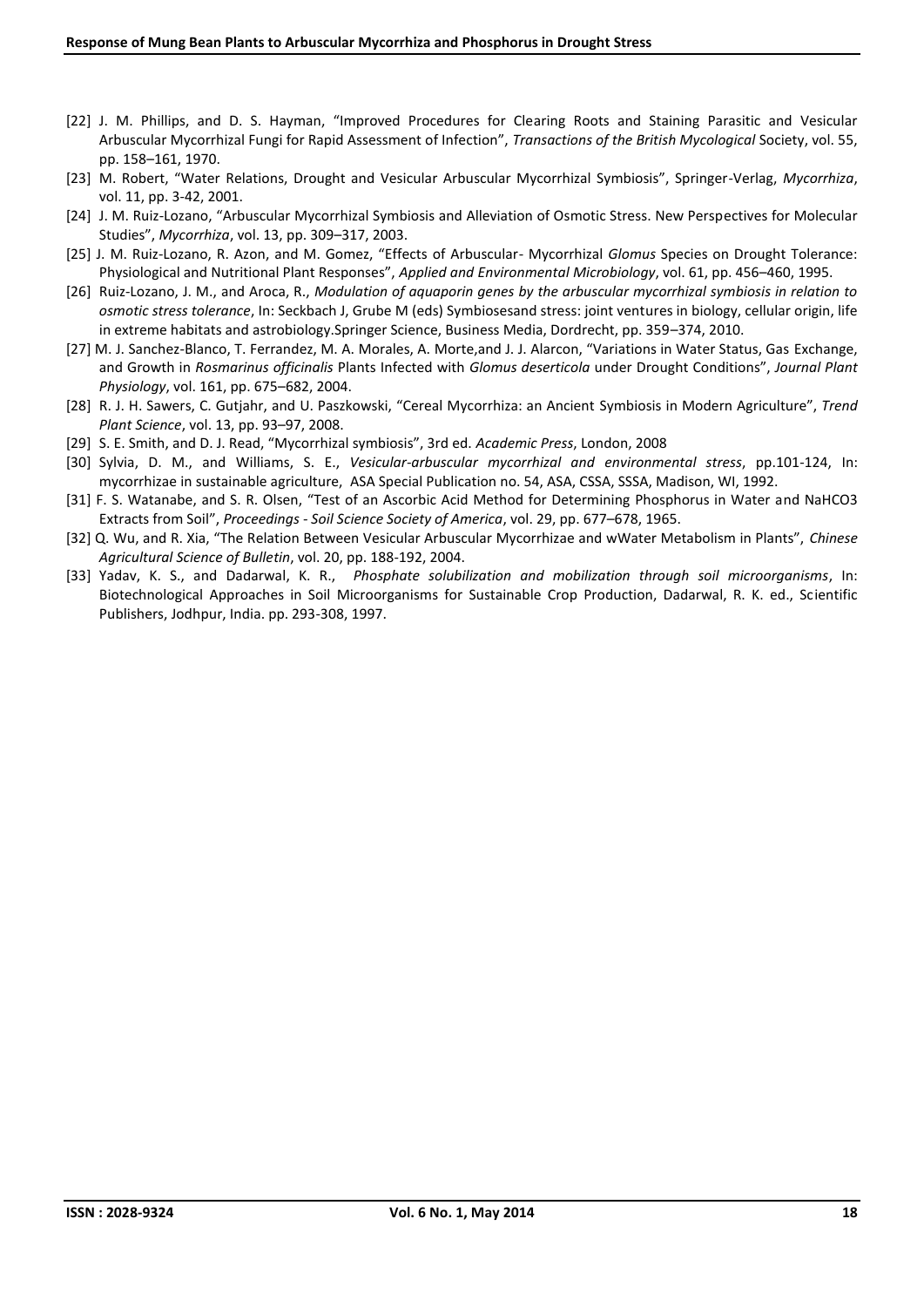- [22] J. M. Phillips, and D. S. Hayman, "Improved Procedures for Clearing Roots and Staining Parasitic and Vesicular Arbuscular Mycorrhizal Fungi for Rapid Assessment of Infection", *Transactions of the British Mycological* Society, vol. 55, pp. 158–161, 1970.
- [23] M. Robert, "Water Relations, Drought and Vesicular Arbuscular Mycorrhizal Symbiosis", Springer-Verlag, *Mycorrhiza*, vol. 11, pp. 3-42, 2001.
- [24] J. M. Ruiz-Lozano, "Arbuscular Mycorrhizal Symbiosis and Alleviation of Osmotic Stress. New Perspectives for Molecular Studies", *Mycorrhiza*, vol. 13, pp. 309–317, 2003.
- [25] J. M. Ruiz-Lozano, R. Azon, and M. Gomez, "Effects of Arbuscular- Mycorrhizal *Glomus* Species on Drought Tolerance: Physiological and Nutritional Plant Responses", *Applied and Environmental Microbiology*, vol. 61, pp. 456–460, 1995.
- [26] Ruiz-Lozano, J. M., and Aroca, R., *Modulation of aquaporin genes by the arbuscular mycorrhizal symbiosis in relation to osmotic stress tolerance*, In: Seckbach J, Grube M (eds) Symbiosesand stress: joint ventures in biology, cellular origin, life in extreme habitats and astrobiology.Springer Science, Business Media, Dordrecht, pp. 359–374, 2010.
- [27] M. J. Sanchez-Blanco, T. Ferrandez, M. A. Morales, A. Morte,and J. J. Alarcon, "Variations in Water Status, Gas Exchange, and Growth in *Rosmarinus officinalis* Plants Infected with *Glomus deserticola* under Drought Conditions", *Journal Plant Physiology*, vol. 161, pp. 675–682, 2004.
- [28] R. J. H. Sawers, C. Gutjahr, and U. Paszkowski, "Cereal Mycorrhiza: an Ancient Symbiosis in Modern Agriculture", *Trend Plant Science*, vol. 13, pp. 93–97, 2008.
- [29] S. E. Smith, and D. J. Read, "Mycorrhizal symbiosis", 3rd ed. *Academic Press*, London, 2008
- [30] Sylvia, D. M., and Williams, S. E., *Vesicular-arbuscular mycorrhizal and environmental stress*, pp.101-124, In: mycorrhizae in sustainable agriculture, ASA Special Publication no. 54, ASA, CSSA, SSSA, Madison, WI, 1992.
- [31] F. S. Watanabe, and S. R. Olsen, "Test of an Ascorbic Acid Method for Determining Phosphorus in Water and NaHCO3 Extracts from Soil", *Proceedings -Soil Science Society of America*, vol. 29, pp. 677–678, 1965.
- [32] Q. Wu, and R. Xia, "The Relation Between Vesicular Arbuscular Mycorrhizae and wWater Metabolism in Plants", *Chinese Agricultural Science of Bulletin*, vol. 20, pp. 188-192, 2004.
- [33] Yadav, K. S., and Dadarwal, K. R., *Phosphate solubilization and mobilization through soil microorganisms*, In: Biotechnological Approaches in Soil Microorganisms for Sustainable Crop Production, Dadarwal, R. K. ed., Scientific Publishers, Jodhpur, India. pp. 293-308, 1997.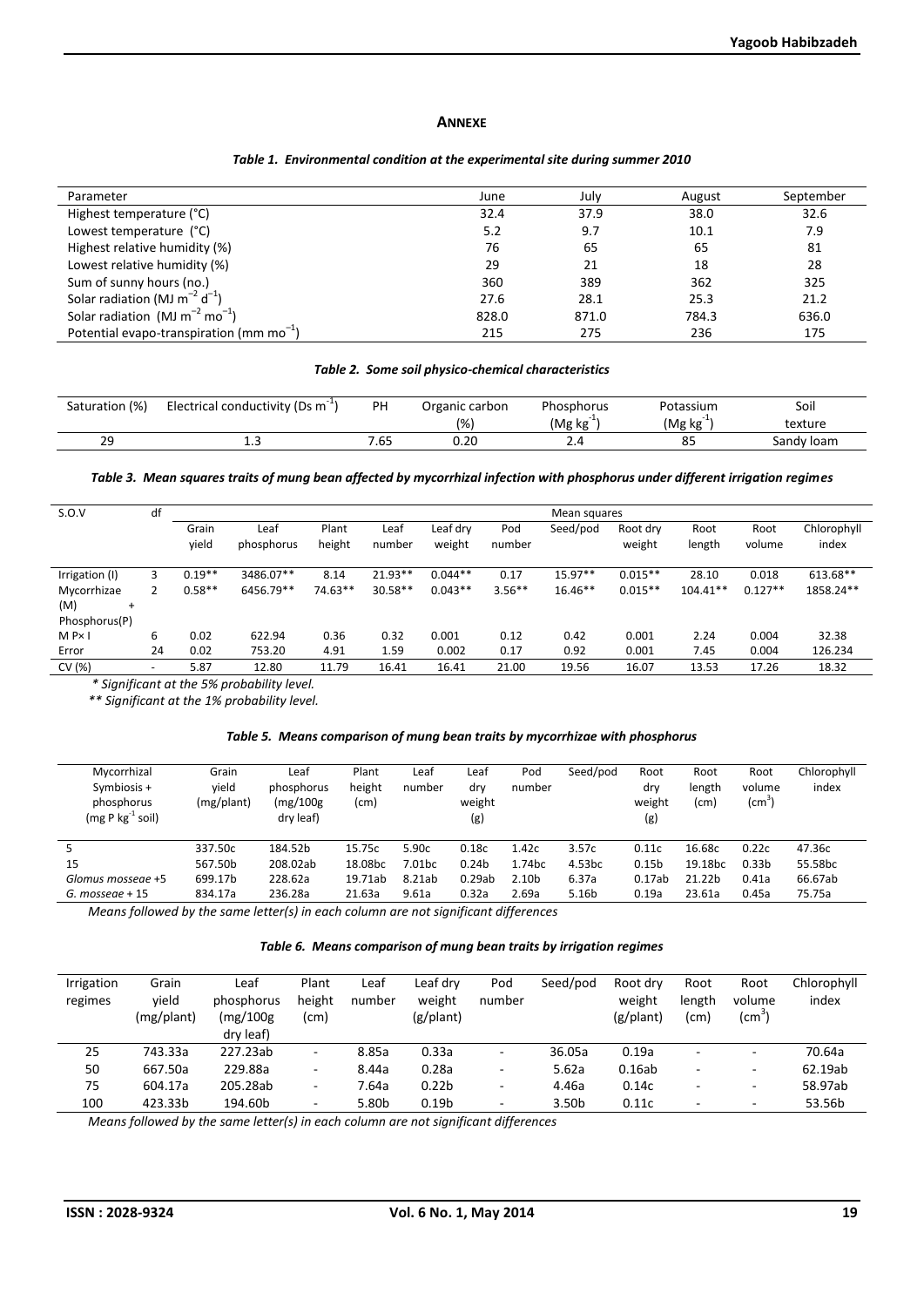#### **ANNEXE**

#### *Table 1. Environmental condition at the experimental site during summer 2010*

| Parameter                                       | June  | July  | August | September |
|-------------------------------------------------|-------|-------|--------|-----------|
| Highest temperature (°C)                        | 32.4  | 37.9  | 38.0   | 32.6      |
| Lowest temperature (°C)                         | 5.2   | 9.7   | 10.1   | 7.9       |
| Highest relative humidity (%)                   | 76    | 65    | 65     | 81        |
| Lowest relative humidity (%)                    | 29    | 21    | 18     | 28        |
| Sum of sunny hours (no.)                        | 360   | 389   | 362    | 325       |
| Solar radiation (MJ $m^{-2} d^{-1}$ )           | 27.6  | 28.1  | 25.3   | 21.2      |
| Solar radiation (MJ $m^{-2}$ mo <sup>-1</sup> ) | 828.0 | 871.0 | 784.3  | 636.0     |
| Potential evapo-transpiration (mm $mo^{-1}$ )   | 215   | 275   | 236    | 175       |

#### *Table 2. Some soil physico-chemical characteristics*

| Saturation (%) | Electrical conductivity (Ds m <sup>-</sup> | PH   | Organic carbon | Phosphorus     | Potassium | Soil       |
|----------------|--------------------------------------------|------|----------------|----------------|-----------|------------|
|                |                                            |      | (%             | . .<br>(Mg kg) | (Mg kg    | texture    |
| 29             | <b></b>                                    | כס.י | 0.20           | . .            | Ωľ        | Sandy Ioam |

#### *Table 3. Mean squares traits of mung bean affected by mycorrhizal infection with phosphorus under different irrigation regimes*

| S.O.V            | df                       |                |                    |                 |                |                    |               | Mean squares |                    |                |                |                      |
|------------------|--------------------------|----------------|--------------------|-----------------|----------------|--------------------|---------------|--------------|--------------------|----------------|----------------|----------------------|
|                  |                          | Grain<br>vield | Leaf<br>phosphorus | Plant<br>height | Leaf<br>number | Leaf dry<br>weight | Pod<br>number | Seed/pod     | Root dry<br>weight | Root<br>length | Root<br>volume | Chlorophyll<br>index |
| Irrigation (I)   |                          | $0.19**$       | 3486.07**          | 8.14            | $21.93**$      | $0.044**$          | 0.17          | $15.97**$    | $0.015**$          | 28.10          | 0.018          | 613.68**             |
| Mycorrhizae      |                          | $0.58**$       | 6456.79**          | 74.63**         | 30.58**        | $0.043**$          | $3.56**$      | $16.46**$    | $0.015**$          | $104.41**$     | $0.127**$      | 1858.24**            |
| (M)<br>$^{+}$    |                          |                |                    |                 |                |                    |               |              |                    |                |                |                      |
| Phosphorus(P)    |                          |                |                    |                 |                |                    |               |              |                    |                |                |                      |
| $M$ P $\times$ I | 6                        | 0.02           | 622.94             | 0.36            | 0.32           | 0.001              | 0.12          | 0.42         | 0.001              | 2.24           | 0.004          | 32.38                |
| Error            | 24                       | 0.02           | 753.20             | 4.91            | 1.59           | 0.002              | 0.17          | 0.92         | 0.001              | 7.45           | 0.004          | 126.234              |
| CV(%)            | $\overline{\phantom{0}}$ | 5.87           | 12.80              | 11.79           | 16.41          | 16.41              | 21.00         | 19.56        | 16.07              | 13.53          | 17.26          | 18.32                |

*\* Significant at the 5% probability level.*

*\*\* Significant at the 1% probability level.*

#### *Table 5. Means comparison of mung bean traits by mycorrhizae with phosphorus*

| Mycorrhizal<br>Symbiosis +<br>phosphorus<br>$(mg P kg-1 soil)$ | Grain<br>vield<br>(mg/plant) | Leaf<br>phosphorus<br>(mg/100g<br>dry leaf) | Plant<br>height<br>(cm) | Leaf<br>number | Leaf<br>drv<br>weight<br>(g) | Pod<br>number     | Seed/pod           | Root<br>dry<br>weight<br>(g) | Root<br>length<br>(cm) | Root<br>volume<br>$\text{(cm}^3)$ | Chlorophyll<br>index |
|----------------------------------------------------------------|------------------------------|---------------------------------------------|-------------------------|----------------|------------------------------|-------------------|--------------------|------------------------------|------------------------|-----------------------------------|----------------------|
|                                                                | 337.50c                      | 184.52b                                     | 15.75c                  | 5.90c          | 0.18c                        | 1.42c             | 3.57c              | 0.11c                        | 16.68c                 | 0.22c                             | 47.36c               |
| 15                                                             | 567.50b                      | 208.02ab                                    | 18.08 <sub>bc</sub>     | 7.01bc         | 0.24 <sub>b</sub>            | 1.74bc            | 4.53 <sub>bc</sub> | 0.15 <sub>b</sub>            | 19.18 <sub>bc</sub>    | 0.33 <sub>b</sub>                 | 55.58 <sub>bc</sub>  |
| Glomus mossege +5                                              | 699.17b                      | 228.62a                                     | 19.71ab                 | 8.21ab         | 0.29ab                       | 2.10 <sub>b</sub> | 6.37a              | 0.17ab                       | 21.22b                 | 0.41a                             | 66.67ab              |
| G. $mosseee + 15$                                              | 834.17a                      | 236.28a                                     | 21.63a                  | 9.61a          | 0.32a                        | 2.69a             | 5.16b              | 0.19a                        | 23.61a                 | 0.45a                             | 75.75a               |

*Means followed by the same letter(s) in each column are not significant differences*

### *Table 6. Means comparison of mung bean traits by irrigation regimes*

| Irrigation<br>regimes | Grain<br>vield<br>(mg/plant) | Leaf<br>phosphorus<br>(mg/100g<br>dry leaf) | Plant<br>height<br>(cm) | Leaf<br>number | Leaf drv<br>weight<br>(g/plant) | Pod<br>number            | Seed/pod          | Root drv<br>weight<br>(g/plant) | Root<br>length<br>(cm)   | Root<br>volume<br>(cm')  | Chlorophyll<br>index |
|-----------------------|------------------------------|---------------------------------------------|-------------------------|----------------|---------------------------------|--------------------------|-------------------|---------------------------------|--------------------------|--------------------------|----------------------|
| 25                    | 743.33a                      | 227.23ab                                    | ۰                       | 8.85a          | 0.33a                           | ۰                        | 36.05a            | 0.19a                           | $\overline{\phantom{a}}$ | ۰                        | 70.64a               |
| 50                    | 667.50a                      | 229.88a                                     |                         | 8.44a          | 0.28a                           | ۰                        | 5.62a             | 0.16ab                          | $\sim$                   | $\overline{\phantom{a}}$ | 62.19ab              |
| 75                    | 604.17a                      | 205.28ab                                    | ۰                       | 7.64a          | 0.22 <sub>b</sub>               | ۰                        | 4.46a             | 0.14c                           | -                        | ۰                        | 58.97ab              |
| 100                   | 423.33b                      | 194.60b                                     |                         | 5.80b          | 0.19 <sub>b</sub>               | $\overline{\phantom{a}}$ | 3.50 <sub>b</sub> | 0.11c                           | $\overline{\phantom{a}}$ |                          | 53.56b               |

*Means followed by the same letter(s) in each column are not significant differences*